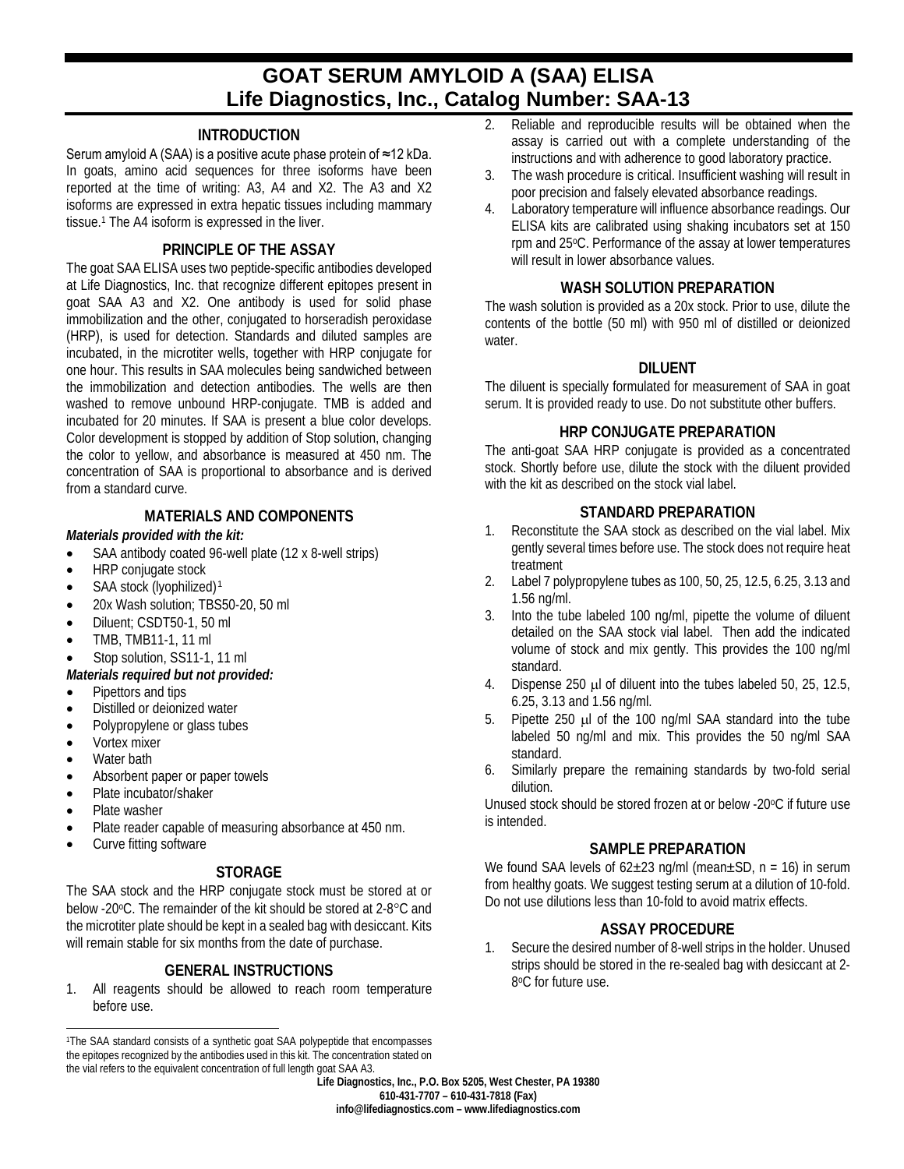# **GOAT SERUM AMYLOID A (SAA) ELISA Life Diagnostics, Inc., Catalog Number: SAA-13**

## **INTRODUCTION**

Serum amyloid A (SAA) is a positive acute phase protein of ≈12 kDa. In goats, amino acid sequences for three isoforms have been reported at the time of writing: A3, A4 and X2. The A3 and X2 isoforms are expressed in extra hepatic tissues including mammary tissue.1 The A4 isoform is expressed in the liver.

#### **PRINCIPLE OF THE ASSAY**

The goat SAA ELISA uses two peptide-specific antibodies developed at Life Diagnostics, Inc. that recognize different epitopes present in goat SAA A3 and X2. One antibody is used for solid phase immobilization and the other, conjugated to horseradish peroxidase (HRP), is used for detection. Standards and diluted samples are incubated, in the microtiter wells, together with HRP conjugate for one hour. This results in SAA molecules being sandwiched between the immobilization and detection antibodies. The wells are then washed to remove unbound HRP-conjugate. TMB is added and incubated for 20 minutes. If SAA is present a blue color develops. Color development is stopped by addition of Stop solution, changing the color to yellow, and absorbance is measured at 450 nm. The concentration of SAA is proportional to absorbance and is derived from a standard curve.

#### **MATERIALS AND COMPONENTS**

#### *Materials provided with the kit:*

- SAA antibody coated 96-well plate (12 x 8-well strips)
- HRP conjugate stock
- SAA stock (lyophilized)<sup>[1](#page-0-0)</sup>
- 20x Wash solution: TBS50-20, 50 ml
- Diluent; CSDT50-1, 50 ml
- TMB, TMB11-1, 11 ml

## Stop solution, SS11-1, 11 ml

*Materials required but not provided:*

- Pipettors and tips
- Distilled or deionized water
- Polypropylene or glass tubes
- Vortex mixer
- Water bath
- Absorbent paper or paper towels
- Plate incubator/shaker
- Plate washer
- Plate reader capable of measuring absorbance at 450 nm.
- Curve fitting software

#### **STORAGE**

The SAA stock and the HRP conjugate stock must be stored at or below -20°C. The remainder of the kit should be stored at 2-8°C and the microtiter plate should be kept in a sealed bag with desiccant. Kits will remain stable for six months from the date of purchase.

# **GENERAL INSTRUCTIONS**

1. All reagents should be allowed to reach room temperature before use.

- 2. Reliable and reproducible results will be obtained when the assay is carried out with a complete understanding of the instructions and with adherence to good laboratory practice.
- 3. The wash procedure is critical. Insufficient washing will result in poor precision and falsely elevated absorbance readings.
- 4. Laboratory temperature will influence absorbance readings. Our ELISA kits are calibrated using shaking incubators set at 150 rpm and 25oC. Performance of the assay at lower temperatures will result in lower absorbance values.

## **WASH SOLUTION PREPARATION**

The wash solution is provided as a 20x stock. Prior to use, dilute the contents of the bottle (50 ml) with 950 ml of distilled or deionized water.

#### **DILUENT**

The diluent is specially formulated for measurement of SAA in goat serum. It is provided ready to use. Do not substitute other buffers.

#### **HRP CONJUGATE PREPARATION**

The anti-goat SAA HRP conjugate is provided as a concentrated stock. Shortly before use, dilute the stock with the diluent provided with the kit as described on the stock vial label.

#### **STANDARD PREPARATION**

- 1. Reconstitute the SAA stock as described on the vial label. Mix gently several times before use. The stock does not require heat treatment
- 2. Label 7 polypropylene tubes as 100, 50, 25, 12.5, 6.25, 3.13 and 1.56 ng/ml.
- 3. Into the tube labeled 100 ng/ml, pipette the volume of diluent detailed on the SAA stock vial label. Then add the indicated volume of stock and mix gently. This provides the 100 ng/ml standard.
- 4. Dispense 250 µl of diluent into the tubes labeled 50, 25, 12.5, 6.25, 3.13 and 1.56 ng/ml.
- 5. Pipette 250 µl of the 100 ng/ml SAA standard into the tube labeled 50 ng/ml and mix. This provides the 50 ng/ml SAA standard.
- 6. Similarly prepare the remaining standards by two-fold serial dilution.

Unused stock should be stored frozen at or below -20°C if future use is intended.

#### **SAMPLE PREPARATION**

We found SAA levels of  $62\pm23$  ng/ml (mean $\pm$ SD, n = 16) in serum from healthy goats. We suggest testing serum at a dilution of 10-fold. Do not use dilutions less than 10-fold to avoid matrix effects.

# **ASSAY PROCEDURE**

1. Secure the desired number of 8-well strips in the holder. Unused strips should be stored in the re-sealed bag with desiccant at 2- 8°C for future use.

<span id="page-0-0"></span> $\overline{a}$ 1The SAA standard consists of a synthetic goat SAA polypeptide that encompasses the epitopes recognized by the antibodies used in this kit. The concentration stated on the vial refers to the equivalent concentration of full length goat SAA A3.